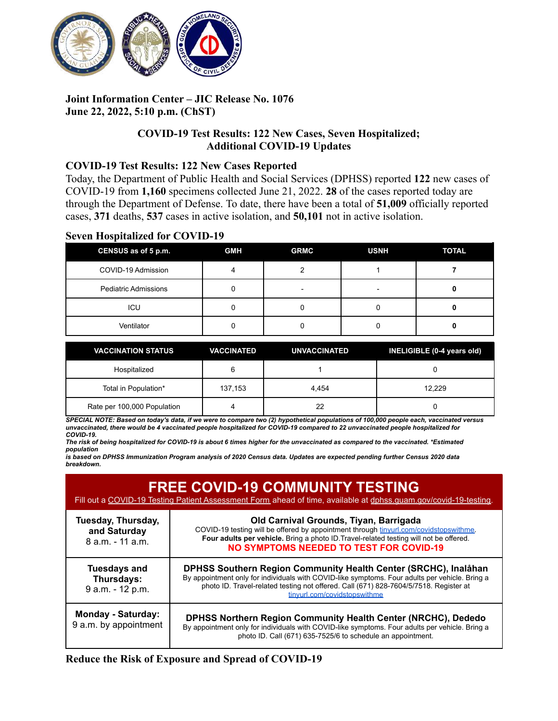

# **Joint Information Center – JIC Release No. 1076 June 22, 2022, 5:10 p.m. (ChST)**

## **COVID-19 Test Results: 122 New Cases, Seven Hospitalized; Additional COVID-19 Updates**

### **COVID-19 Test Results: 122 New Cases Reported**

Today, the Department of Public Health and Social Services (DPHSS) reported **122** new cases of COVID-19 from **1,160** specimens collected June 21, 2022. **28** of the cases reported today are through the Department of Defense. To date, there have been a total of **51,009** officially reported cases, **371** deaths, **537** cases in active isolation, and **50,101** not in active isolation.

### **Seven Hospitalized for COVID-19**

| CENSUS as of 5 p.m.         | <b>GMH</b> | <b>GRMC</b> | <b>USNH</b> | <b>TOTAL</b> |
|-----------------------------|------------|-------------|-------------|--------------|
| COVID-19 Admission          |            |             |             |              |
| <b>Pediatric Admissions</b> |            |             |             |              |
| ICU                         |            |             |             |              |
| Ventilator                  |            |             |             |              |

| <b>VACCINATION STATUS</b>   | <b>VACCINATED</b> | <b>UNVACCINATED</b> | INELIGIBLE (0-4 years old) |
|-----------------------------|-------------------|---------------------|----------------------------|
| Hospitalized                |                   |                     |                            |
| Total in Population*        | 137,153           | 4.454               | 12.229                     |
| Rate per 100,000 Population |                   | 22                  |                            |

SPECIAL NOTE: Based on today's data, if we were to compare two (2) hypothetical populations of 100,000 people each, vaccinated versus unvaccinated, there would be 4 vaccinated people hospitalized for COVID-19 compared to 22 unvaccinated people hospitalized for *COVID-19.*

The risk of being hospitalized for COVID-19 is about 6 times higher for the unvaccinated as compared to the vaccinated. \*Estimated *population*

is based on DPHSS Immunization Program analysis of 2020 Census data. Updates are expected pending further Census 2020 data *breakdown.*

| <b>FREE COVID-19 COMMUNITY TESTING</b><br>Fill out a COVID-19 Testing Patient Assessment Form ahead of time, available at dphss.quam.gov/covid-19-testing. |                                                                                                                                                                                                                                                                                            |  |
|------------------------------------------------------------------------------------------------------------------------------------------------------------|--------------------------------------------------------------------------------------------------------------------------------------------------------------------------------------------------------------------------------------------------------------------------------------------|--|
| Tuesday, Thursday,<br>and Saturday<br>8 a.m. - 11 a.m.                                                                                                     | Old Carnival Grounds, Tiyan, Barrigada<br>COVID-19 testing will be offered by appointment through tinyurl.com/covidstopswithme<br>Four adults per vehicle. Bring a photo ID. Travel-related testing will not be offered.<br><b>NO SYMPTOMS NEEDED TO TEST FOR COVID-19</b>                 |  |
| <b>Tuesdays and</b><br>Thursdays:<br>9 a.m. - 12 p.m.                                                                                                      | DPHSS Southern Region Community Health Center (SRCHC), Inalåhan<br>By appointment only for individuals with COVID-like symptoms. Four adults per vehicle. Bring a<br>photo ID. Travel-related testing not offered. Call (671) 828-7604/5/7518. Register at<br>tinvurl.com/covidstopswithme |  |
| <b>Monday - Saturday:</b><br>9 a.m. by appointment                                                                                                         | <b>DPHSS Northern Region Community Health Center (NRCHC), Dededo</b><br>By appointment only for individuals with COVID-like symptoms. Four adults per vehicle. Bring a<br>photo ID. Call (671) 635-7525/6 to schedule an appointment.                                                      |  |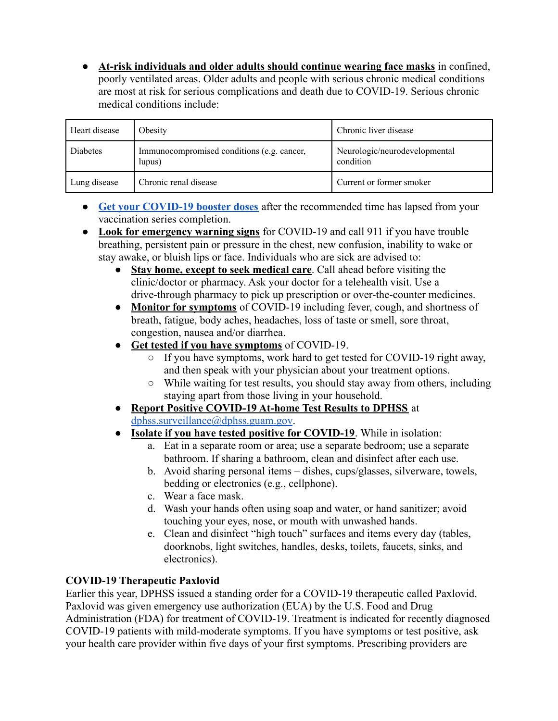● **At-risk individuals and older adults should continue wearing face masks** in confined, poorly ventilated areas. Older adults and people with serious chronic medical conditions are most at risk for serious complications and death due to COVID-19. Serious chronic medical conditions include:

| Heart disease | Obesity                                              | Chronic liver disease                      |
|---------------|------------------------------------------------------|--------------------------------------------|
| Diabetes      | Immunocompromised conditions (e.g. cancer,<br>lupus) | Neurologic/neurodevelopmental<br>condition |
| Lung disease  | Chronic renal disease                                | Current or former smoker                   |

- **[Get your COVID-19 booster doses](http://cdc.gov/coronavirus/2019-ncov/vaccines/booster-shot.html)** after the recommended time has lapsed from your vaccination series completion.
- **Look for emergency warning signs** for COVID-19 and call 911 if you have trouble breathing, persistent pain or pressure in the chest, new confusion, inability to wake or stay awake, or bluish lips or face. Individuals who are sick are advised to:
	- **Stay home, except to seek medical care**. Call ahead before visiting the clinic/doctor or pharmacy. Ask your doctor for a telehealth visit. Use a drive-through pharmacy to pick up prescription or over-the-counter medicines.
	- **Monitor for symptoms** of COVID-19 including fever, cough, and shortness of breath, fatigue, body aches, headaches, loss of taste or smell, sore throat, congestion, nausea and/or diarrhea.
	- **Get tested if you have symptoms** of COVID-19.
		- If you have symptoms, work hard to get tested for COVID-19 right away, and then speak with your physician about your treatment options.
		- While waiting for test results, you should stay away from others, including staying apart from those living in your household.
	- **Report Positive COVID-19 At-home Test Results to DPHSS** at [dphss.surveillance@dphss.guam.gov](mailto:dphss.surveillance@dphss.guam.gov).
	- **Isolate if you have tested positive for COVID-19**. While in isolation:
		- a. Eat in a separate room or area; use a separate bedroom; use a separate bathroom. If sharing a bathroom, clean and disinfect after each use.
		- b. Avoid sharing personal items dishes, cups/glasses, silverware, towels, bedding or electronics (e.g., cellphone).
		- c. Wear a face mask.
		- d. Wash your hands often using soap and water, or hand sanitizer; avoid touching your eyes, nose, or mouth with unwashed hands.
		- e. Clean and disinfect "high touch" surfaces and items every day (tables, doorknobs, light switches, handles, desks, toilets, faucets, sinks, and electronics).

# **COVID-19 Therapeutic Paxlovid**

Earlier this year, DPHSS issued a standing order for a COVID-19 therapeutic called Paxlovid. Paxlovid was given emergency use authorization (EUA) by the U.S. Food and Drug Administration (FDA) for treatment of COVID-19. Treatment is indicated for recently diagnosed COVID-19 patients with mild-moderate symptoms. If you have symptoms or test positive, ask your health care provider within five days of your first symptoms. Prescribing providers are